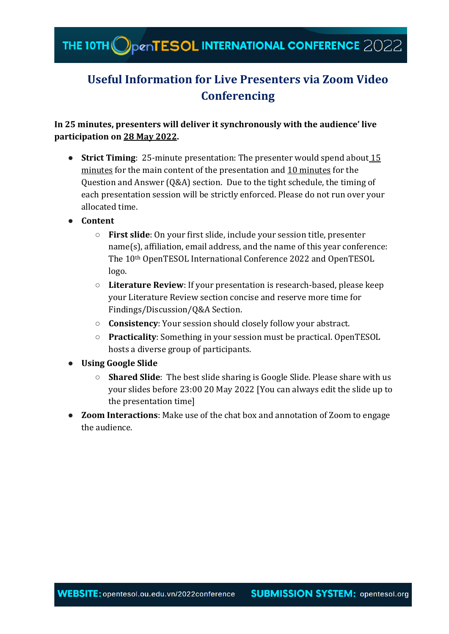## **Useful Information for Live Presenters via Zoom Video Conferencing**

**In 25 minutes, presenters will deliver it synchronously with the audience' live participation on 28 May 2022.**

- **Strict Timing:** 25-minute presentation: The presenter would spend about 15 minutes for the main content of the presentation and 10 minutes for the Question and Answer (Q&A) section. Due to the tight schedule, the timing of each presentation session will be strictly enforced. Please do not run over your allocated time.
- **Content** 
	- **First slide**: On your first slide, include your session title, presenter name(s), affiliation, email address, and the name of this year conference: The 10th OpenTESOL International Conference 2022 and OpenTESOL logo.
	- **Literature Review**: If your presentation is research-based, please keep your Literature Review section concise and reserve more time for Findings/Discussion/Q&A Section.
	- **Consistency**: Your session should closely follow your abstract.
	- **Practicality**: Something in your session must be practical. OpenTESOL hosts a diverse group of participants.
- **Using Google Slide**
	- **Shared Slide**: The best slide sharing is Google Slide. Please share with us your slides before 23:00 20 May 2022 [You can always edit the slide up to the presentation time]
- **Zoom Interactions**: Make use of the chat box and annotation of Zoom to engage the audience.